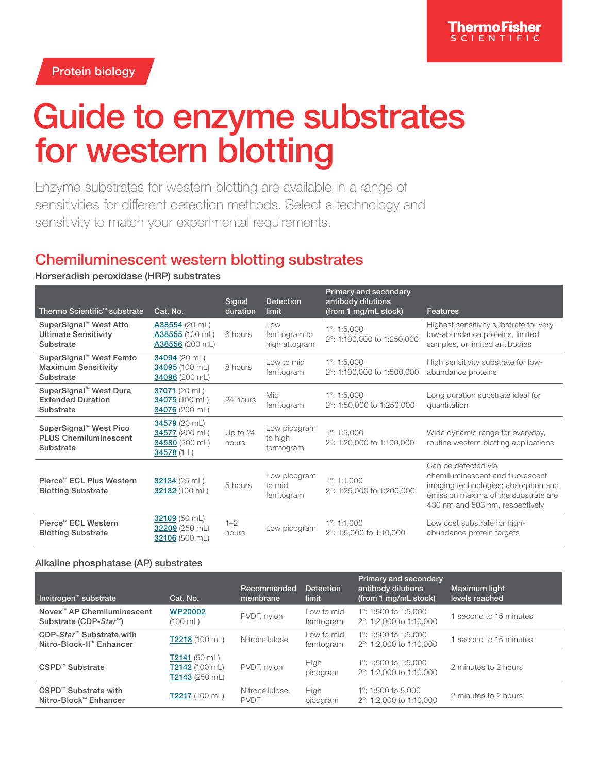Protein biology

# Guide to enzyme substrates for western blotting

Enzyme substrates for western blotting are available in a range of sensitivities for different detection methods. Select a technology and sensitivity to match your experimental requirements.

## Chemiluminescent western blotting substrates

Horseradish peroxidase (HRP) substrates

| Thermo Scientific <sup>™</sup> substrate                                        | Cat. No.                                                         | Signal<br>duration  | <b>Detection</b><br>limit            | <b>Primary and secondary</b><br>antibody dilutions<br>(from 1 mg/mL stock) | Features                                                                                                                                                                   |
|---------------------------------------------------------------------------------|------------------------------------------------------------------|---------------------|--------------------------------------|----------------------------------------------------------------------------|----------------------------------------------------------------------------------------------------------------------------------------------------------------------------|
| SuperSignal™ West Atto<br><b>Ultimate Sensitivity</b><br>Substrate              | A38554 (20 mL)<br>A38555 (100 mL)<br>A38556 (200 mL)             | 6 hours             | Low<br>femtogram to<br>high attogram | $1^\circ$ : 1:5,000<br>2°: 1:100,000 to 1:250,000                          | Highest sensitivity substrate for very<br>low-abundance proteins, limited<br>samples, or limited antibodies                                                                |
| SuperSignal™ West Femto<br><b>Maximum Sensitivity</b><br>Substrate              | 34094 (20 mL)<br>34095 (100 mL)<br>34096 (200 mL)                | 8 hours             | Low to mid<br>femtogram              | $1^\circ$ : 1:5,000<br>2°: 1:100,000 to 1:500,000                          | High sensitivity substrate for low-<br>abundance proteins                                                                                                                  |
| SuperSignal™ West Dura<br><b>Extended Duration</b><br>Substrate                 | 37071 (20 mL)<br>34075 (100 mL)<br>34076 (200 mL)                | 24 hours            | Mid<br>femtogram                     | $1^\circ$ : 1:5,000<br>2°: 1:50,000 to 1:250,000                           | Long duration substrate ideal for<br>quantitation                                                                                                                          |
| SuperSignal <sup>™</sup> West Pico<br><b>PLUS Chemiluminescent</b><br>Substrate | 34579 (20 mL)<br>34577 (200 mL)<br>34580 (500 mL)<br>34578 (1 L) | Up to $24$<br>hours | Low picogram<br>to high<br>femtogram | $1^\circ$ : 1:5,000<br>2°: 1:20,000 to 1:100,000                           | Wide dynamic range for everyday,<br>routine western blotting applications                                                                                                  |
| Pierce™ ECL Plus Western<br><b>Blotting Substrate</b>                           | 32134 (25 mL)<br>32132 (100 mL)                                  | 5 hours             | Low picogram<br>to mid<br>femtogram  | $1^\circ$ : 1:1.000<br>2°: 1:25,000 to 1:200,000                           | Can be detected via<br>chemiluminescent and fluorescent<br>imaging technologies; absorption and<br>emission maxima of the substrate are<br>430 nm and 503 nm, respectively |
| Pierce™ ECL Western<br><b>Blotting Substrate</b>                                | 32109 (50 mL)<br>32209 (250 mL)<br>32106 (500 mL)                | $1 - 2$<br>hours    | Low picogram                         | $1^\circ$ : 1:1,000<br>2°: 1:5,000 to 1:10,000                             | Low cost substrate for high-<br>abundance protein targets                                                                                                                  |

## Alkaline phosphatase (AP) substrates

| <b>Invitrogen™</b> substrate                                                 | Cat. No.                                               | Recommended<br>membrane        | <b>Detection</b><br>limit | <b>Primary and secondary</b><br>antibody dilutions<br>(from 1 mg/mL stock) | Maximum light<br>levels reached |
|------------------------------------------------------------------------------|--------------------------------------------------------|--------------------------------|---------------------------|----------------------------------------------------------------------------|---------------------------------|
| Novex <sup>™</sup> AP Chemiluminescent<br>Substrate (CDP-Star <sup>™</sup> ) | <b>WP20002</b><br>(100 mL)                             | PVDF, nylon                    | Low to mid<br>femtogram   | 1°: 1:500 to 1:5,000<br>$2^{\circ}$ : 1:2,000 to 1:10,000                  | second to 15 minutes            |
| CDP-Star <sup>™</sup> Substrate with<br>Nitro-Block-II™ Enhancer             | $T2218(100 \text{ mL})$                                | Nitrocellulose                 | Low to mid<br>femtogram   | 1°: 1:500 to 1:5,000<br>2°: 1:2,000 to 1:10,000                            | second to 15 minutes            |
| CSPD™ Substrate                                                              | $T2141$ (50 mL)<br>$T2142$ (100 mL)<br>$T2143(250$ mL) | PVDF, nylon                    | High<br>picogram          | 1°: 1:500 to 1:5,000<br>$2^{\circ}$ : 1:2,000 to 1:10,000                  | 2 minutes to 2 hours            |
| CSPD™ Substrate with<br>Nitro-Block™ Enhancer                                | T2217 (100 mL)                                         | Nitrocellulose.<br><b>PVDF</b> | High<br>picogram          | 1°: 1:500 to 5,000<br>2°: 1:2.000 to 1:10.000                              | 2 minutes to 2 hours            |